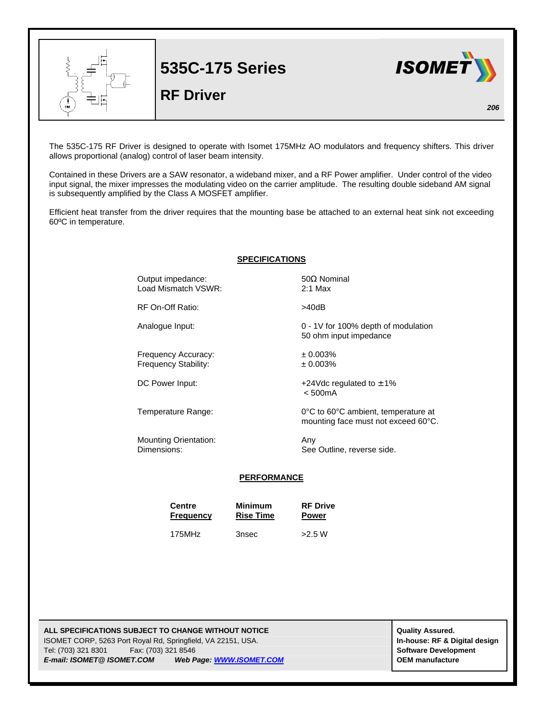

**535C-175 Series**

## **RF Driver**



*206*

The 535C-175 RF Driver is designed to operate with Isomet 175MHz AO modulators and frequency shifters. This driver allows proportional (analog) control of laser beam intensity.

Contained in these Drivers are a SAW resonator, a wideband mixer, and a RF Power amplifier. Under control of the video input signal, the mixer impresses the modulating video on the carrier amplitude. The resulting double sideband AM signal is subsequently amplified by the Class A MOSFET amplifier.

Efficient heat transfer from the driver requires that the mounting base be attached to an external heat sink not exceeding 60ºC in temperature.

|  |  | <b>SPECIFICATIONS</b> |
|--|--|-----------------------|
|  |  |                       |

Output impedance:  $50Ω$  Nominal Load Mismatch VSWR: 2:1 Max

RF On-Off Ratio:  $>40dB$ 

Analogue Input: 0 - 1V for 100% depth of modulation

Frequency Accuracy:  $\pm 0.003\%$ <br>Frequency Stability:  $\pm 0.003\%$ Frequency Stability:

Mounting Orientation: Any

DC Power Input:  $+24 \text{Vdc}$  regulated to  $\pm 1\%$ < 500mA

50 ohm input impedance

Temperature Range: 0°C to 60°C ambient, temperature at mounting face must not exceed 60°C.

Dimensions: See Outline, reverse side.

## **PERFORMANCE**

| <b>Centre</b>    | <b>Minimum</b>   | <b>RF Drive</b> |  |
|------------------|------------------|-----------------|--|
| <b>Frequency</b> | <b>Rise Time</b> | <b>Power</b>    |  |
| 175MHz           | 3nsec            |                 |  |

**ALL SPECIFICATIONS SUBJECT TO CHANGE WITHOUT NOTICE ALL SPECIFICATIONS SUBJECT TO CHANGE WITHOUT NOTICE** ISOMET CORP, 5263 Port Royal Rd, Springfield, VA 22151, USA. **In-house: RF & Digital design** Tel: (703) 321 8301 Fax: (703) 321 8546 **Software Development** *E-mail: ISOMET@ ISOMET.COM Web Page: WWW.ISOMET.COM* **OEM manufacture**